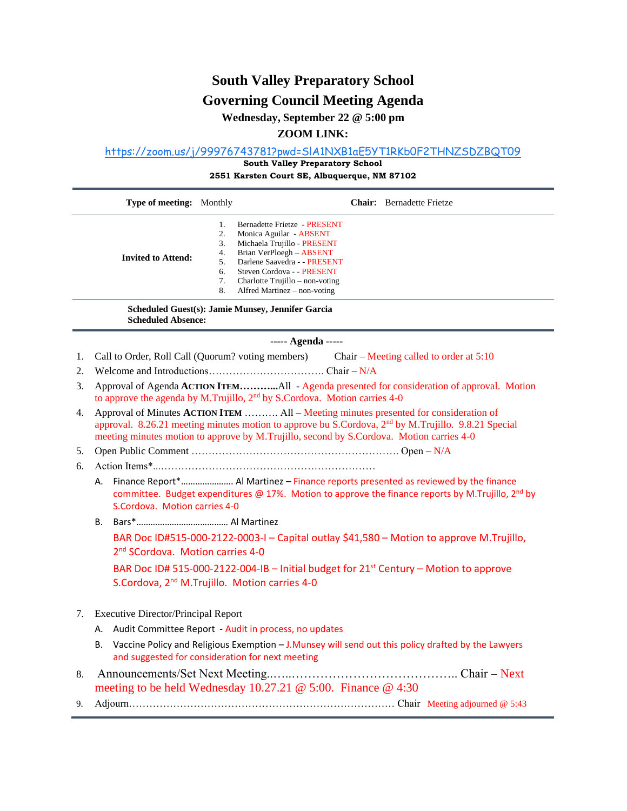# **South Valley Preparatory School**

## **Governing Council Meeting Agenda**

**Wednesday, September 22 @ 5:00 pm**

### **ZOOM LINK:**

<https://zoom.us/j/99976743781?pwd=SlA1NXB1aE5YT1RKb0F2THNZSDZBQT09>

**South Valley Preparatory School** 

**2551 Karsten Court SE, Albuquerque, NM 87102** 

|                                                                                | Type of meeting: Monthly                                                                                                                                       |                                                                                                                                                                                                                                                                                                            |  | <b>Chair:</b> Bernadette Frietze                                                                    |  |
|--------------------------------------------------------------------------------|----------------------------------------------------------------------------------------------------------------------------------------------------------------|------------------------------------------------------------------------------------------------------------------------------------------------------------------------------------------------------------------------------------------------------------------------------------------------------------|--|-----------------------------------------------------------------------------------------------------|--|
|                                                                                | <b>Invited to Attend:</b>                                                                                                                                      | <b>Bernadette Frietze - PRESENT</b><br>1.<br>2.<br>Monica Aguilar - ABSENT<br>Michaela Trujillo - PRESENT<br>3.<br>Brian VerPloegh - ABSENT<br>4.<br>Darlene Saavedra - - PRESENT<br>5.<br>Steven Cordova - - PRESENT<br>6.<br>7.<br>Charlotte Trujillo – non-voting<br>8.<br>Alfred Martinez – non-voting |  |                                                                                                     |  |
| Scheduled Guest(s): Jamie Munsey, Jennifer Garcia<br><b>Scheduled Absence:</b> |                                                                                                                                                                |                                                                                                                                                                                                                                                                                                            |  |                                                                                                     |  |
| ----- Agenda -----                                                             |                                                                                                                                                                |                                                                                                                                                                                                                                                                                                            |  |                                                                                                     |  |
| 1.                                                                             |                                                                                                                                                                | Call to Order, Roll Call (Quorum? voting members) Chair – Meeting called to order at 5:10                                                                                                                                                                                                                  |  |                                                                                                     |  |
| 2.                                                                             |                                                                                                                                                                |                                                                                                                                                                                                                                                                                                            |  |                                                                                                     |  |
| 3.                                                                             |                                                                                                                                                                | Approval of Agenda ACTION ITEMAll - Agenda presented for consideration of approval. Motion<br>to approve the agenda by M.Trujillo, 2 <sup>nd</sup> by S.Cordova. Motion carries 4-0                                                                                                                        |  |                                                                                                     |  |
| 4.                                                                             |                                                                                                                                                                | Approval of Minutes ACTION ITEM  All - Meeting minutes presented for consideration of<br>approval. 8.26.21 meeting minutes motion to approve bu S.Cordova, 2 <sup>nd</sup> by M.Trujillo. 9.8.21 Special<br>meeting minutes motion to approve by M.Trujillo, second by S.Cordova. Motion carries 4-0       |  |                                                                                                     |  |
| 5.                                                                             |                                                                                                                                                                |                                                                                                                                                                                                                                                                                                            |  |                                                                                                     |  |
| 6.                                                                             |                                                                                                                                                                |                                                                                                                                                                                                                                                                                                            |  |                                                                                                     |  |
|                                                                                | А.                                                                                                                                                             | Finance Report* Al Martinez - Finance reports presented as reviewed by the finance<br>committee. Budget expenditures @ 17%. Motion to approve the finance reports by M.Trujillo, 2nd by<br>S.Cordova. Motion carries 4-0                                                                                   |  |                                                                                                     |  |
|                                                                                | В.                                                                                                                                                             |                                                                                                                                                                                                                                                                                                            |  |                                                                                                     |  |
|                                                                                | BAR Doc ID#515-000-2122-0003-I - Capital outlay \$41,580 - Motion to approve M.Trujillo,<br>2 <sup>nd</sup> SCordova. Motion carries 4-0                       |                                                                                                                                                                                                                                                                                                            |  |                                                                                                     |  |
|                                                                                | BAR Doc ID# 515-000-2122-004-IB - Initial budget for 21 <sup>st</sup> Century - Motion to approve<br>S.Cordova, 2 <sup>nd</sup> M.Trujillo. Motion carries 4-0 |                                                                                                                                                                                                                                                                                                            |  |                                                                                                     |  |
| <b>Executive Director/Principal Report</b><br>7.                               |                                                                                                                                                                |                                                                                                                                                                                                                                                                                                            |  |                                                                                                     |  |
|                                                                                | А.                                                                                                                                                             | Audit Committee Report - Audit in process, no updates                                                                                                                                                                                                                                                      |  |                                                                                                     |  |
|                                                                                | В.                                                                                                                                                             | and suggested for consideration for next meeting                                                                                                                                                                                                                                                           |  | Vaccine Policy and Religious Exemption - J. Munsey will send out this policy drafted by the Lawyers |  |
| 8.                                                                             |                                                                                                                                                                | meeting to be held Wednesday 10.27.21 $\omega$ 5:00. Finance $\omega$ 4:30                                                                                                                                                                                                                                 |  |                                                                                                     |  |
| 9.                                                                             |                                                                                                                                                                |                                                                                                                                                                                                                                                                                                            |  |                                                                                                     |  |